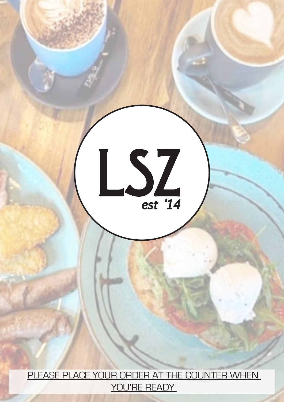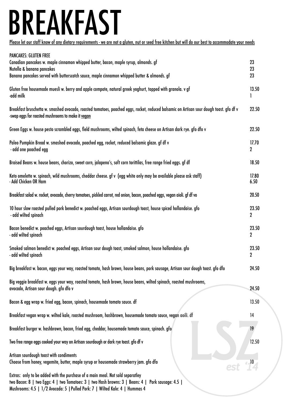### **BREAKFAST**

Please let our staff know of any dietary requirements - we are not a gluten, nut or seed free kitchen but will do our best to accommodate your needs

| <b>PANCAKES: GLUTEN FREE</b>                                                                                                                                                                                                                                            |                           |
|-------------------------------------------------------------------------------------------------------------------------------------------------------------------------------------------------------------------------------------------------------------------------|---------------------------|
| Canadian pancakes w. maple cinnamon whipped butter, bacon, maple syrup, almonds. gf                                                                                                                                                                                     | 23                        |
| Nutella & banana pancakes<br>Banana pancakes served with butterscotch sauce, maple cinnamon whipped butter & almonds. gf                                                                                                                                                | 23<br>23                  |
| Gluten free housemade muesli w. berry and apple compote, natural greek yoghurt, topped with granola. v gf<br>-add milk                                                                                                                                                  | 13.50                     |
| Breakfast bruschetta w. smashed avocado, roasted tomatoes, poached eggs, rocket, reduced balsamic on Artisan sour dough toast. gfo df v<br>-swap eggs for roasted mushrooms to make it vegan                                                                            | 22.50                     |
| Green Eggs w. house pesto scrambled eggs, field mushrooms, wilted spinach, feta cheese on Artisan dark rye. gfo dfo v                                                                                                                                                   | 22.50                     |
| Paleo Pumpkin Bread w. smashed avocado, poached egg, rocket, reduced balsamic glaze. gf df v<br>- add one poached egg                                                                                                                                                   | 17.70<br>$\mathbf 2$      |
| Braised Beans w. house beans, chorizo, sweet corn, jalapeno's, soft corn torittilas, free range fried eggs. gf df                                                                                                                                                       | 18.50                     |
| Keto omelette w. spinach, wild mushrooms, cheddar cheese. gf v (egg white only may be available please ask staff)<br>- Add Chicken OR Ham                                                                                                                               | 17.80<br>6.50             |
| Breakfast salad w. rocket, avocado, cherry tomatoes, pickled carrot, red onion, bacon, poached eggs, vegan aioli. gf df vo                                                                                                                                              | 20.50                     |
| 10 hour slow roasted pulled pork benedict w. poached eggs, Artisan sourdough toast, house spiced hollandaise. gfo<br>- add wilted spinach                                                                                                                               | 23.50<br>$\mathbf 2$      |
| Bacon benedict w. poached eggs, Artisan sourdough toast, house hollandaise. gfo<br>- add wilted spinach                                                                                                                                                                 | 23.50<br>$\mathbf{2}$     |
| Smoked salmon benedict w. poached eggs, Artisan sour dough toast, smoked salmon, house hollandaise. gfo<br>- add wilted spinach                                                                                                                                         | 23.50<br>$\boldsymbol{2}$ |
| Big breakfast w. bacon, eggs your way, roasted tomato, hash brown, house beans, pork sausage, Artisan sour dough toast. gfo dfo                                                                                                                                         | 24.50                     |
| Big veggie breakfast w. eggs your way, roasted tomato, hash brown, house beans, wilted spinach, roasted mushrooms,<br>avocado, Artisan sour dough. gfo dfo v                                                                                                            | 24.50                     |
| Bacon & egg wrap w. fried egg, bacon, spinach, housemade tomato sauce. df                                                                                                                                                                                               | 13.50                     |
| Breakfast vegan wrap w. wilted kale, roasted mushroom, hashbrown, housemade tomato sauce, vegan aoili. df                                                                                                                                                               | 14                        |
| Breakfast burger w. hashbrown, bacon, fried egg, cheddar, housemade tomato sauce, spinach. gfo                                                                                                                                                                          | 19                        |
| Two free range eggs cooked your way on Artisan sourdough or dark rye toast. gfo df v                                                                                                                                                                                    | 12.50                     |
| Artisan sourdough toast with condiments<br>Choose from honey, vegemite, butter, maple syrup or housemade strawberry jam. gfo dfo                                                                                                                                        |                           |
| Extras: only to be added with the purchase of a main meal. Not sold separatley<br>two Bacon: 8   two Eggs: 4   two Tomatoes: 3   two Hash browns: 3   Beans: 4  <br>Pork sausage: 4.5  <br>Mushrooms: 4.5   1/2 Avocado: 5   Pulled Pork: 7   Wilted Kale: 4   Hummas 4 |                           |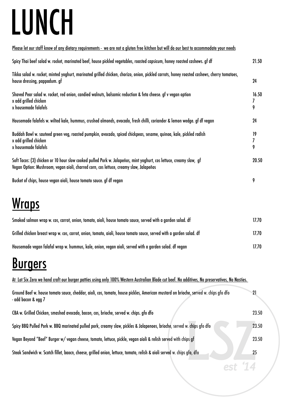## **LUNCH**

| <u>Please let our staff know of any dietary requirements - we are not a gluten free kitchen but will do our best to accommodate your needs</u>                                                                |                 |
|---------------------------------------------------------------------------------------------------------------------------------------------------------------------------------------------------------------|-----------------|
| Spicy Thai beef salad w. rocket, marinated beef, house pickled vegetables, roasted capsicum, honey roasted cashews. gf df                                                                                     | 21.50           |
| Tikka salad w. rocket, minted yoghurt, marinated grilled chicken, chorizo, onion, pickled carrots, honey roasted cashews, cherry tomatoes,<br>house dressing, pappadum. gf                                    | 24              |
| Shaved Pear salad w. rocket, red onion, candied walnuts, balsamic reduction & feta cheese. gf v vegan option<br>x add grilled chicken<br>x housemade falafels                                                 | 16.50<br>7<br>9 |
| Housemade falafels w. wilted kale, hummus, crushed almonds, avocado, fresh chilli, coriander & lemon wedge. gf df vegan                                                                                       | 24              |
| Buddah Bowl w. sauteed green veg, roasted pumpkin, avocado, spiced chickpeas, sesame, quinoa, kale, pickled radish<br>x add grilled chicken<br>x housemade falafels                                           | 19<br>7<br>9    |
| Soft Tacos: (3) chicken or 10 hour slow cooked pulled Pork w. Jalapeños, mint yoghurt, cos lettuce, creamy slaw, gf<br>Vegan Option: Mushroom, vegan aioli, charred corn, cos lettuce, creamy slaw, Jalapeños | 20.50           |
| Bucket of chips, house vegan aioli, house tomato sauce. gf df vegan                                                                                                                                           | 9               |
| .                                                                                                                                                                                                             |                 |

### Wraps

| Smoked salmon wrap w. cos, carrot, onion, tomato, aioli, house tomato sauce, served with a garden salad. df          | 17.70 |
|----------------------------------------------------------------------------------------------------------------------|-------|
| Grilled chicken breast wrap w. cos, carrot, onion, tomato, aioli, house tomato sauce, served with a garden salad. df | 17.70 |
| Housemade vegan falafal wrap w. hummus, kale, onion, vegan aioli, served with a garden salad. df vegan               | 17.70 |

### **Burgers**

At Lot Six Zero we hand craft our burger patties using only 100% Western Australian Blade cut beef. No additives, No preservatives, No Nasties.

| Ground Beef w. house tomato sauce, cheddar, aioli, cos, tomato, house pickles, American mustard on brioche, served w. chips gfo dfo<br>- add bacon & egg 7 | 21    |
|------------------------------------------------------------------------------------------------------------------------------------------------------------|-------|
| CBA w. Grilled Chicken, smashed avocado, bacon, cos, brioche, served w. chips. gfo dfo                                                                     | 23.50 |
| Spicy BBQ Pulled Pork w. BBQ marinated pulled pork, creamy slaw, pickles & Jalapenoes, brioche, served w. chips gfo dfo                                    | 23.50 |
| Vegan Beyond "Beef" Burger w/vegan cheese, tomato, lettuce, pickle, vegan aioli & relish served with chips gf                                              | 23.50 |
| Steak Sandwich w. Scotch fillet, baocn, cheese, grilled onion, lettuce, tomato, relish & aioli served w. chips gfo, dfo                                    | 25    |
|                                                                                                                                                            |       |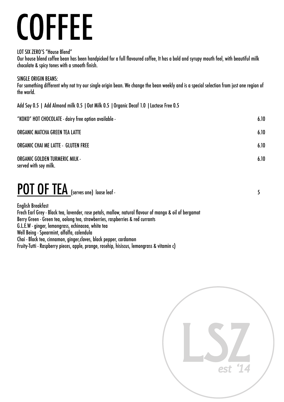### **COFFEE**

LOT SIX ZERO'S "House Blend"

Our house blend coffee bean has been handpicked for a full flavoured coffee, It has a bold and syrupy mouth feel, with beautiful milk chocolate & spicy tones with a smooth finish.

#### SINGLE ORIGIN BEANS:

For something different why not try our single origin bean. We change the bean weekly and is a special selection from just one region of the world.

Add Soy 0.5 | Add Almond milk 0.5 |Oat Milk 0.5 |Organic Decaf 1.0 |Lactose Free 0.5

| 6.10 |
|------|
| 6.10 |
| 6.10 |
| 6.10 |
|      |

#### POT OF TEA (serves one) loose leaf -

English Breakfast Frech Earl Grey - Black tea, lavender, rose petals, mallow, natural flavour of mango & oil of bergamot Berry Green - Green tea, oolong tea, strawberries, raspberries & red currants G.L.E.W - ginger, lemongrass, echinacea, white tea Well Being - Spearmint, alfalfa, calendula Chai - Black tea, cinnamon, ginger,cloves, black pepper, cardamon Fruity-Tutti - Raspberry pieces, apple, prange, rosehip, hisiscus, lemongrass & vitamin c)

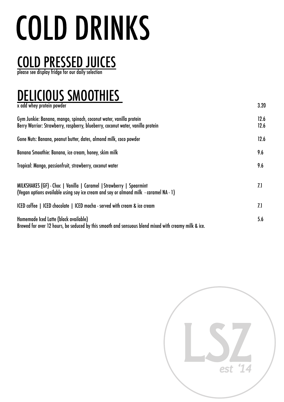# **COLD DRINKS**

### COLD PRESSED JUICES

please see display fridge for our daily selection

#### DELICIOUS SMOOTHIES

x add whey protein powder 3.20

| Gym Junkie: Banana, mango, spinach, coconut water, vanilla protein<br>Berry Warrior: Strawberry, raspberry, blueberry, coconut water, vanilla protein        | 12.6<br>12.6 |
|--------------------------------------------------------------------------------------------------------------------------------------------------------------|--------------|
| Gone Nuts: Banana, peanut butter, dates, almond milk, coco powder                                                                                            | 12.6         |
| Banana Smoothie: Banana, ice cream, honey, skim milk                                                                                                         | 9.6          |
| Tropical: Mango, passionfruit, strawberry, coconut water                                                                                                     | 9.6          |
| MILKSHAKES (GF) - Choc   Vanilla   Caramel   Strawberry   Spearmint<br>(Vegan options available using soy ice cream and soy or almond milk - caramel NA - 1) | 7.1          |
| ICED coffee   ICED chocolate   ICED mocha - served with cream & ice cream                                                                                    | 7.1          |
| Homemade Iced Latte (black available)<br>Brewed for over 12 hours, be seduced by this smooth and sensuous blend mixed with creamy milk & ice.                | 5.6          |